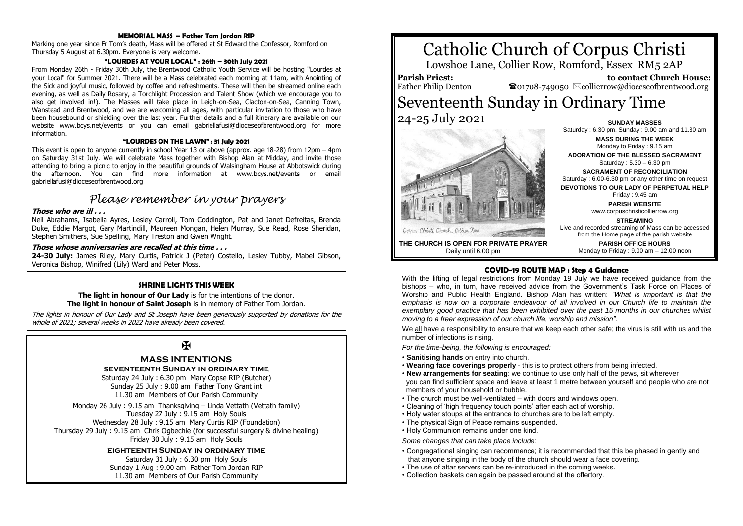#### **MEMORIAL MASS – Father Tom Jordan RIP**

Marking one year since Fr Tom's death, Mass will be offered at St Edward the Confessor, Romford on Thursday 5 August at 6.30pm. Everyone is very welcome.

### **"LOURDES AT YOUR LOCAL" : 26th – 30th July 2021**

From Monday 26th - Friday 30th July, the Brentwood Catholic Youth Service will be hosting "Lourdes at your Local" for Summer 2021. There will be a Mass celebrated each morning at 11am, with Anointing of the Sick and joyful music, followed by coffee and refreshments. These will then be streamed online each evening, as well as Daily Rosary, a Torchlight Procession and Talent Show (which we encourage you to also get involved in!). The Masses will take place in Leigh-on-Sea, Clacton-on-Sea, Canning Town, Wanstead and Brentwood, and we are welcoming all ages, with particular invitation to those who have been housebound or shielding over the last year. Further details and a full itinerary are available on our website www.bcys.net/events or you can email gabriellafusi@dioceseofbrentwood.org for more information.

#### **"LOURDES ON THE LAWN" : 31 July 2021**

This event is open to anyone currently in school Year 13 or above (approx. age 18-28) from 12pm – 4pm on Saturday 31st July. We will celebrate Mass together with Bishop Alan at Midday, and invite those attending to bring a picnic to enjoy in the beautiful grounds of Walsingham House at Abbotswick during the afternoon. You can find more information at www.bcys.net/events or email gabriellafusi@dioceseofbrentwood.org

# *Please remember in your prayers*

## **Those who are ill . . .**

Neil Abrahams, Isabella Ayres, Lesley Carroll, Tom Coddington, Pat and Janet Defreitas, Brenda Duke, Eddie Margot, Gary Martindill, Maureen Mongan, Helen Murray, Sue Read, Rose Sheridan, Stephen Smithers, Sue Spelling, Mary Treston and Gwen Wright.

## **Those whose anniversaries are recalled at this time . . .**

**24-30 July:** James Riley, Mary Curtis, Patrick J (Peter) Costello, Lesley Tubby, Mabel Gibson, Veronica Bishop, Winifred (Lily) Ward and Peter Moss.

## **SHRINE LIGHTS THIS WEEK**

**The light in honour of Our Lady** is for the intentions of the donor. **The light in honour of Saint Joseph** is in memory of Father Tom Jordan.

The lights in honour of Our Lady and St Joseph have been generously supported by donations for the whole of 2021; several weeks in 2022 have already been covered.

# $\mathbf{F}$

# **MASS INTENTIONS**

**seventeenth Sunday in ordinary time** Saturday 24 July : 6.30 pm Mary Copse RIP (Butcher)

Sunday 25 July : 9.00 am Father Tony Grant int 11.30 am Members of Our Parish Community

Monday 26 July : 9.15 am Thanksgiving – Linda Vettath (Vettath family) Tuesday 27 July : 9.15 am Holy Souls Wednesday 28 July : 9.15 am Mary Curtis RIP (Foundation) Thursday 29 July : 9.15 am Chris Ogbechie (for successful surgery & divine healing) Friday 30 July : 9.15 am Holy Souls

## **eighteenth Sunday in ordinary time**

Saturday 31 July : 6.30 pm Holy Souls Sunday 1 Aug : 9.00 am Father Tom Jordan RIP 11.30 am Members of Our Parish Community

# Catholic Church of Corpus Christi

Lowshoe Lane, Collier Row, Romford, Essex RM5 2AP

**Parish Priest:** Father Philip Denton

 **to contact Church House:**  $\mathbf{\Omega}$ 01708-749050  $\boxtimes$ collierrow@dioceseofbrentwood.org

# Seventeenth Sunday in Ordinary Time 24-25 July 2021 **SUNDAY MASSES**



Saturday : 6.30 pm, Sunday : 9.00 am and 11.30 am **MASS DURING THE WEEK** Monday to Friday : 9.15 am **ADORATION OF THE BLESSED SACRAMENT** Saturday : 5.30 – 6.30 pm **SACRAMENT OF RECONCILIATION** Saturday : 6.00-6.30 pm or any other time on request **DEVOTIONS TO OUR LADY OF PERPETUAL HELP** Friday : 9.45 am **PARISH WEBSITE** www.corpuschristicollierrow.org **STREAMING** Live and recorded streaming of Mass can be accessed from the Home page of the parish website **PARISH OFFICE HOURS**

Monday to Friday : 9.00 am – 12.00 noon

**THE CHURCH IS OPEN FOR PRIVATE PRAYER** Daily until 6.00 pm

# **COVID-19 ROUTE MAP : Step 4 Guidance**

With the lifting of legal restrictions from Monday 19 July we have received guidance from the bishops – who, in turn, have received advice from the Government's Task Force on Places of Worship and Public Health England. Bishop Alan has written: *"What is important is that the emphasis is now on a corporate endeavour of all involved in our Church life to maintain the exemplary good practice that has been exhibited over the past 15 months in our churches whilst moving to a freer expression of our church life, worship and mission".*

We all have a responsibility to ensure that we keep each other safe; the virus is still with us and the number of infections is rising.

*For the time-being, the following is encouraged:*

- **Sanitising hands** on entry into church.
- **Wearing face coverings properly** this is to protect others from being infected.
- **New arrangements for seating**: we continue to use only half of the pews, sit wherever you can find sufficient space and leave at least 1 metre between yourself and people who are not members of your household or bubble.
- The church must be well-ventilated with doors and windows open.
- Cleaning of 'high frequency touch points' after each act of worship.
- Holy water stoups at the entrance to churches are to be left empty.
- The physical Sign of Peace remains suspended.
- Holy Communion remains under one kind.

*Some changes that can take place include:*

- Congregational singing can recommence; it is recommended that this be phased in gently and that anyone singing in the body of the church should wear a face covering.
- The use of altar servers can be re-introduced in the coming weeks.
- Collection baskets can again be passed around at the offertory.